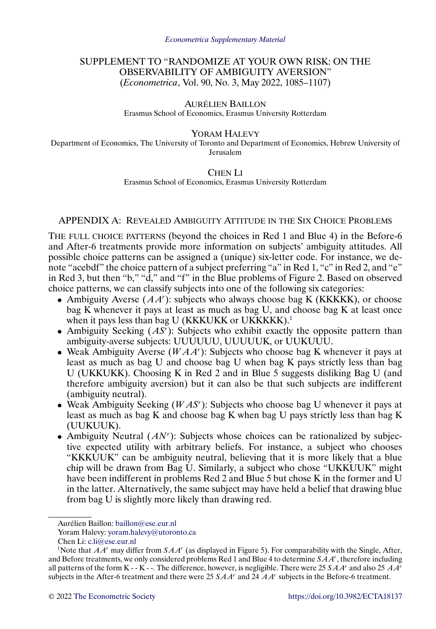# SUPPLEMENT TO "RANDOMIZE AT YOUR OWN RISK: ON THE OBSERVABILITY OF AMBIGUITY AVERSION" (*Econometrica*, Vol. 90, No. 3, May 2022, 1085–1107)

# AURÉLIEN BAILLON

Erasmus School of Economics, Erasmus University Rotterdam

#### YORAM HALEVY

Department of Economics, The University of Toronto and Department of Economics, Hebrew University of Jerusalem

## CHEN LI

Erasmus School of Economics, Erasmus University Rotterdam

## APPENDIX A: REVEALED AMBIGUITY ATTITUDE IN THE SIX CHOICE PROBLEMS

THE FULL CHOICE PATTERNS (beyond the choices in Red 1 and Blue 4) in the Before-6 and After-6 treatments provide more information on subjects' ambiguity attitudes. All possible choice patterns can be assigned a (unique) six-letter code. For instance, we denote "acebdf" the choice pattern of a subject preferring "a" in Red 1, "c" in Red 2, and "e" in Red 3, but then "b," "d," and "f" in the Blue problems of Figure 2. Based on observed choice patterns, we can classify subjects into one of the following six categories:

- Ambiguity Averse  $(AA^r)$ : subjects who always choose bag K (KKKKK), or choose bag K whenever it pays at least as much as bag U, and choose bag K at least once when it pays less than bag U (KKKUKK or UKKKKK).<sup>1</sup>
- Ambiguity Seeking  $(AS^r)$ : Subjects who exhibit exactly the opposite pattern than ambiguity-averse subjects: UUUUUU, UUUUUK, or UUKUUU.
- Weak Ambiguity Averse ( $WAA'$ ): Subjects who choose bag K whenever it pays at least as much as bag U and choose bag U when bag K pays strictly less than bag U (UKKUKK). Choosing K in Red 2 and in Blue 5 suggests disliking Bag U (and therefore ambiguity aversion) but it can also be that such subjects are indifferent (ambiguity neutral).
- Weak Ambiguity Seeking ( $WAS'$ ): Subjects who choose bag U whenever it pays at least as much as bag K and choose bag K when bag U pays strictly less than bag K (UUKUUK).
- Ambiguity Neutral  $(AN<sup>r</sup>)$ : Subjects whose choices can be rationalized by subjective expected utility with arbitrary beliefs. For instance, a subject who chooses "KKKUUK" can be ambiguity neutral, believing that it is more likely that a blue chip will be drawn from Bag U. Similarly, a subject who chose "UKKUUK" might have been indifferent in problems Red 2 and Blue 5 but chose K in the former and U in the latter. Alternatively, the same subject may have held a belief that drawing blue from bag U is slightly more likely than drawing red.

Aurélien Baillon: [baillon@ese.eur.nl](mailto:baillon@ese.eur.nl)

Yoram Halevy: [yoram.halevy@utoronto.ca](mailto:yoram.halevy@utoronto.ca)

Chen Li: [c.li@ese.eur.nl](mailto:c.li@ese.eur.nl)

<sup>&</sup>lt;sup>1</sup>Note that  $AA<sup>r</sup>$  may differ from  $SAA<sup>r</sup>$  (as displayed in Figure 5). For comparability with the Single, After, and Before treatments, we only considered problems Red 1 and Blue 4 to determine  $S A A^r$ , therefore including all patterns of the form K - - K - -. The difference, however, is negligible. There were 25  $SAA<sup>r</sup>$  and also 25  $AA<sup>r</sup>$ subjects in the After-6 treatment and there were 25  $SAA<sup>r</sup>$  and 24  $AA<sup>r</sup>$  subjects in the Before-6 treatment.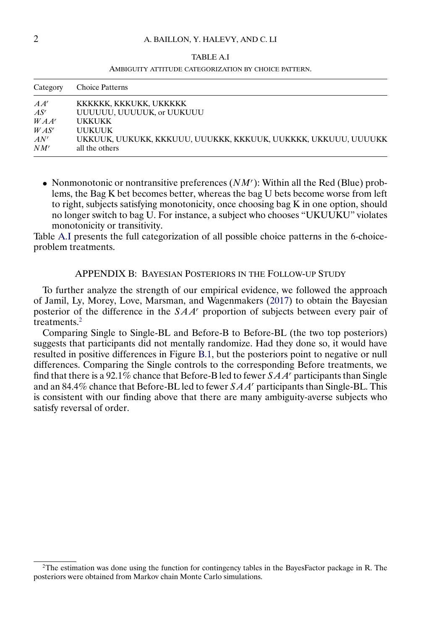## <span id="page-1-0"></span>2 A. BAILLON, Y. HALEVY, AND C. LI

| ABLE |
|------|
|------|

#### AMBIGUITY ATTITUDE CATEGORIZATION BY CHOICE PATTERN.

| Category | <b>Choice Patterns</b>                                         |
|----------|----------------------------------------------------------------|
| $A A^r$  | KKKKKK, KKKUKK, UKKKKK                                         |
| $AS^r$   | UUUUUU, UUUUUK, or UUKUUU                                      |
| $WAA^r$  | <b>UKKUKK</b>                                                  |
| $WAS^r$  | <b>UUKUUK</b>                                                  |
| $AN^r$   | UKKUUK, UUKUKK, KKKUUU, UUUKKK, KKKUUK, UUKKKK, UKKUUU, UUUUKK |
| $NM^r$   | all the others                                                 |

• Nonmonotonic or nontransitive preferences  $(NM')$ : Within all the Red (Blue) problems, the Bag K bet becomes better, whereas the bag U bets become worse from left to right, subjects satisfying monotonicity, once choosing bag K in one option, should no longer switch to bag U. For instance, a subject who chooses "UKUUKU" violates monotonicity or transitivity.

Table A.I presents the full categorization of all possible choice patterns in the 6-choiceproblem treatments.

### APPENDIX B: BAYESIAN POSTERIORS IN THE FOLLOW-UP STUDY

To further analyze the strength of our empirical evidence, we followed the approach of Jamil, Ly, Morey, Love, Marsman, and Wagenmakers [\(2017\)](#page-2-0) to obtain the Bayesian posterior of the difference in the  $SAA<sup>r</sup>$  proportion of subjects between every pair of treatments.<sup>2</sup>

Comparing Single to Single-BL and Before-B to Before-BL (the two top posteriors) suggests that participants did not mentally randomize. Had they done so, it would have resulted in positive differences in Figure [B.1,](#page-2-0) but the posteriors point to negative or null differences. Comparing the Single controls to the corresponding Before treatments, we find that there is a 92.1% chance that Before-B led to fewer  $SAA'$  participants than Single and an 84.4% chance that Before-BL led to fewer  $SAA<sup>r</sup>$  participants than Single-BL. This is consistent with our finding above that there are many ambiguity-averse subjects who satisfy reversal of order.

<sup>&</sup>lt;sup>2</sup>The estimation was done using the function for contingency tables in the BayesFactor package in R. The posteriors were obtained from Markov chain Monte Carlo simulations.